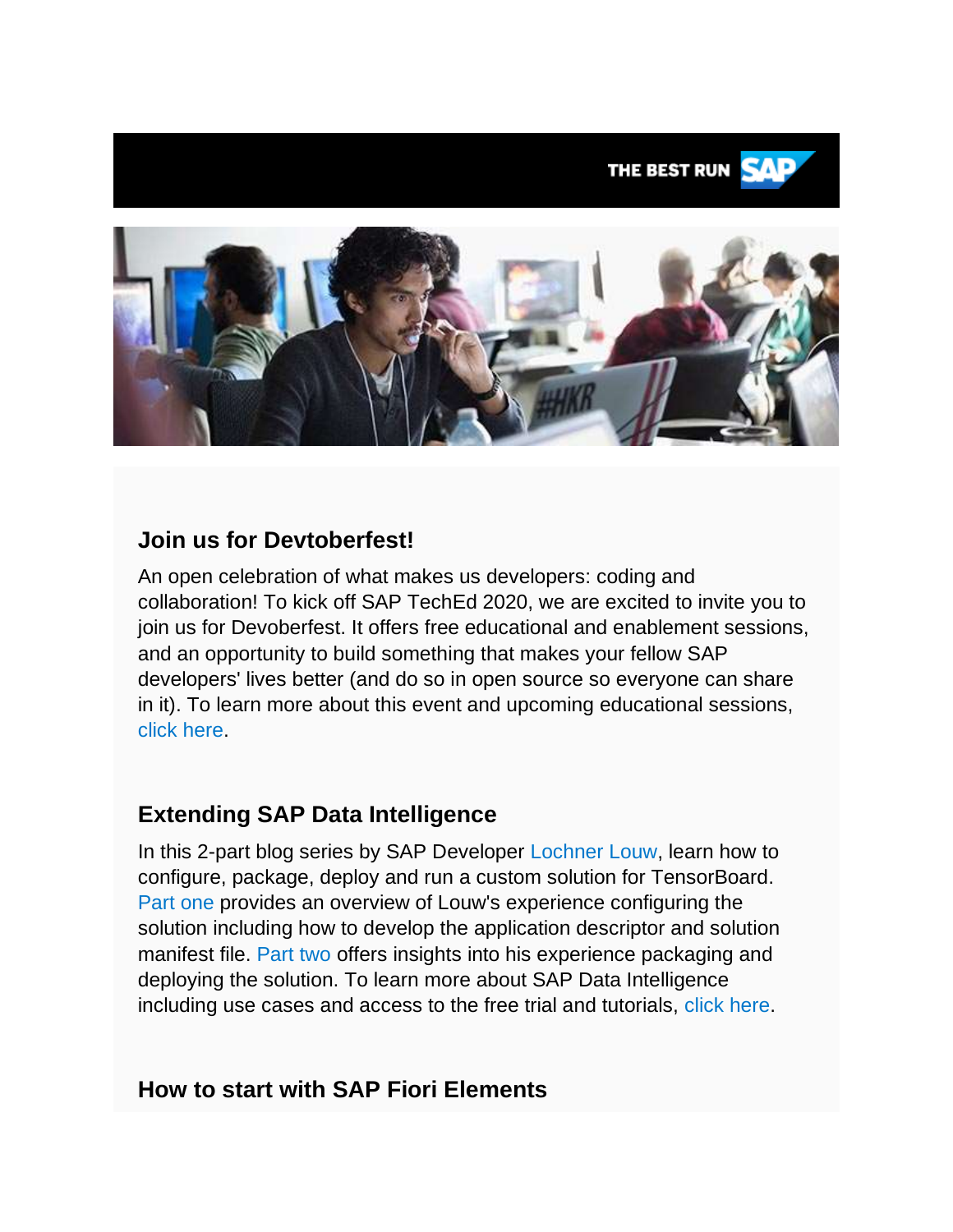

# **Join us for Devtoberfest!**

An open celebration of what makes us developers: coding and collaboration! To kick off SAP TechEd 2020, we are excited to invite you to join us for Devoberfest. It offers free educational and enablement sessions, and an opportunity to build something that makes your fellow SAP developers' lives better (and do so in open source so everyone can share in it). To learn more about this event and upcoming educational sessions, [click here.](https://s4cloudae36f1aac.hana.ondemand.com/data-buffer/sap/public/cuan/link/100/42A759AB4ED7F9FF29C18595A703AABDADE71EBB?_V_=2&_K11_=4111422326BF2828BD91FF9C194E632E5309E6FD&_L54AD1F204_=c2NlbmFyaW89TUxDUEcmdGVuYW50PW15MzAwNzIzLnM0aGFuYS5vbmRlbWFuZC5jb20mdGFyZ2V0PWh0dHBzOi8vZGV2ZWxvcGVycy5zYXAuY29tL2RldnRvYmVyZmVzdC5odG1sP3NvdXJjZT1lbWFpbC1nLWRldmVsb3Blci1uZXdzbGV0dGVyLUF1ZzIwJnNhcC1vdXRib3VuZC1pZD00MkE3NTlBQjRFRDdGOUZGMjlDMTg1OTVBNzAzQUFCREFERTcxRUJCJnNtY19jYW1wYWlnbl9pZD0wMDAwMDEwNjA1&_K13_=190&_K14_=bec663f5a98547d274ec6b59be30608b37d9a867d4f01db7a22346e5e0e4b5f3)

# **Extending SAP Data Intelligence**

In this 2-part blog series by SAP Developer [Lochner Louw,](https://s4cloudae36f1aac.hana.ondemand.com/data-buffer/sap/public/cuan/link/100/42A759AB4ED7F9FF29C18595A703AABDADE71EBB?_V_=2&_K11_=6008923CD09E6D8619DFCA7BF720ED5200E0890A&_L54AD1F204_=c2NlbmFyaW89TUxDUEcmdGVuYW50PW15MzAwNzIzLnM0aGFuYS5vbmRlbWFuZC5jb20mdGFyZ2V0PWh0dHBzOi8vcGVvcGxlLnNhcC5jb20vbG9jaG5lci5sb3V3Mj9zb3VyY2U9ZW1haWwtZy1kZXZlbG9wZXItbmV3c2xldHRlci1BdWcyMCZzYXAtb3V0Ym91bmQtaWQ9NDJBNzU5QUI0RUQ3RjlGRjI5QzE4NTk1QTcwM0FBQkRBREU3MUVCQiZzbWNfY2FtcGFpZ25faWQ9MDAwMDAxMDYwNQ&_K13_=190&_K14_=f8697b635e9e6d5c9c617a4533f1a6755103dbdff5201ada46085fc40569abee) learn how to configure, package, deploy and run a custom solution for TensorBoard. [Part one](https://s4cloudae36f1aac.hana.ondemand.com/data-buffer/sap/public/cuan/link/100/42A759AB4ED7F9FF29C18595A703AABDADE71EBB?_V_=2&_K11_=689A5AE583D94B9E7ED09F6D6AAB04CDC61B8A5C&_L54AD1F204_=c2NlbmFyaW89TUxDUEcmdGVuYW50PW15MzAwNzIzLnM0aGFuYS5vbmRlbWFuZC5jb20mdGFyZ2V0PWh0dHBzOi8vYmxvZ3Muc2FwLmNvbS8yMDIwLzA4LzE3L2V4dGVuZGluZy1zYXAtZGF0YS1pbnRlbGxpZ2VuY2UtcGFydC0xLWNvbmZpZ3VyaW5nLWEtY3VzdG9tLXNvbHV0aW9uLWZvci10ZW5zb3Jib2FyZC8/c291cmNlPWVtYWlsLWctZGV2ZWxvcGVyLW5ld3NsZXR0ZXItQXVnMjAmc2FwLW91dGJvdW5kLWlkPTQyQTc1OUFCNEVEN0Y5RkYyOUMxODU5NUE3MDNBQUJEQURFNzFFQkImc21jX2NhbXBhaWduX2lkPTAwMDAwMTA2MDU&_K13_=190&_K14_=dc3359b9def9fc062fe91830fe4b5d533e211f1c3362409c02ea46d2df478526) provides an overview of Louw's experience configuring the solution including how to develop the application descriptor and solution manifest file. [Part two](https://s4cloudae36f1aac.hana.ondemand.com/data-buffer/sap/public/cuan/link/100/42A759AB4ED7F9FF29C18595A703AABDADE71EBB?_V_=2&_K11_=44EDC450E5E2A07DF8915E86B8323FA50304A6C0&_L54AD1F204_=c2NlbmFyaW89TUxDUEcmdGVuYW50PW15MzAwNzIzLnM0aGFuYS5vbmRlbWFuZC5jb20mdGFyZ2V0PWh0dHBzOi8vYmxvZ3Muc2FwLmNvbS8yMDIwLzA4LzE4L2V4dGVuZGluZy1zYXAtZGF0YS1pbnRlbGxpZ2VuY2UtcGFydC0yLXBhY2thZ2luZy1kZXBsb3lpbmctYW5kLXJ1bm5pbmctc29sdXRpb24tY29udGFpbmluZy1jdXN0b20tYXBwbGljYXRpb24vP3NvdXJjZT1lbWFpbC1nLWRldmVsb3Blci1uZXdzbGV0dGVyLUF1ZzIwJnNhcC1vdXRib3VuZC1pZD00MkE3NTlBQjRFRDdGOUZGMjlDMTg1OTVBNzAzQUFCREFERTcxRUJCJnNtY19jYW1wYWlnbl9pZD0wMDAwMDEwNjA1&_K13_=190&_K14_=2ed16ea2535cc8fd54eba56aecbfa99323958b90dd241a2e9deb7d80ed29a9b4) offers insights into his experience packaging and deploying the solution. To learn more about SAP Data Intelligence including use cases and access to the free trial and tutorials, [click here.](https://s4cloudae36f1aac.hana.ondemand.com/data-buffer/sap/public/cuan/link/100/42A759AB4ED7F9FF29C18595A703AABDADE71EBB?_V_=2&_K11_=8D51C59A0C4DA07BBC3502E4ECE65E49676815D3&_L54AD1F204_=c2NlbmFyaW89TUxDUEcmdGVuYW50PW15MzAwNzIzLnM0aGFuYS5vbmRlbWFuZC5jb20mdGFyZ2V0PWh0dHBzOi8vZGV2ZWxvcGVycy5zYXAuY29tL3RvcGljcy9kYXRhLWludGVsbGlnZW5jZS5odG1sP3NvdXJjZT1lbWFpbC1nLWRldmVsb3Blci1uZXdzbGV0dGVyLUF1ZzIwJnNhcC1vdXRib3VuZC1pZD00MkE3NTlBQjRFRDdGOUZGMjlDMTg1OTVBNzAzQUFCREFERTcxRUJCJnNtY19jYW1wYWlnbl9pZD0wMDAwMDEwNjA1&_K13_=190&_K14_=6c85b307aadd3bec8f45aee02f989c273b176bcb68c450fc1643665ba87e3ee6)

# **How to start with SAP Fiori Elements**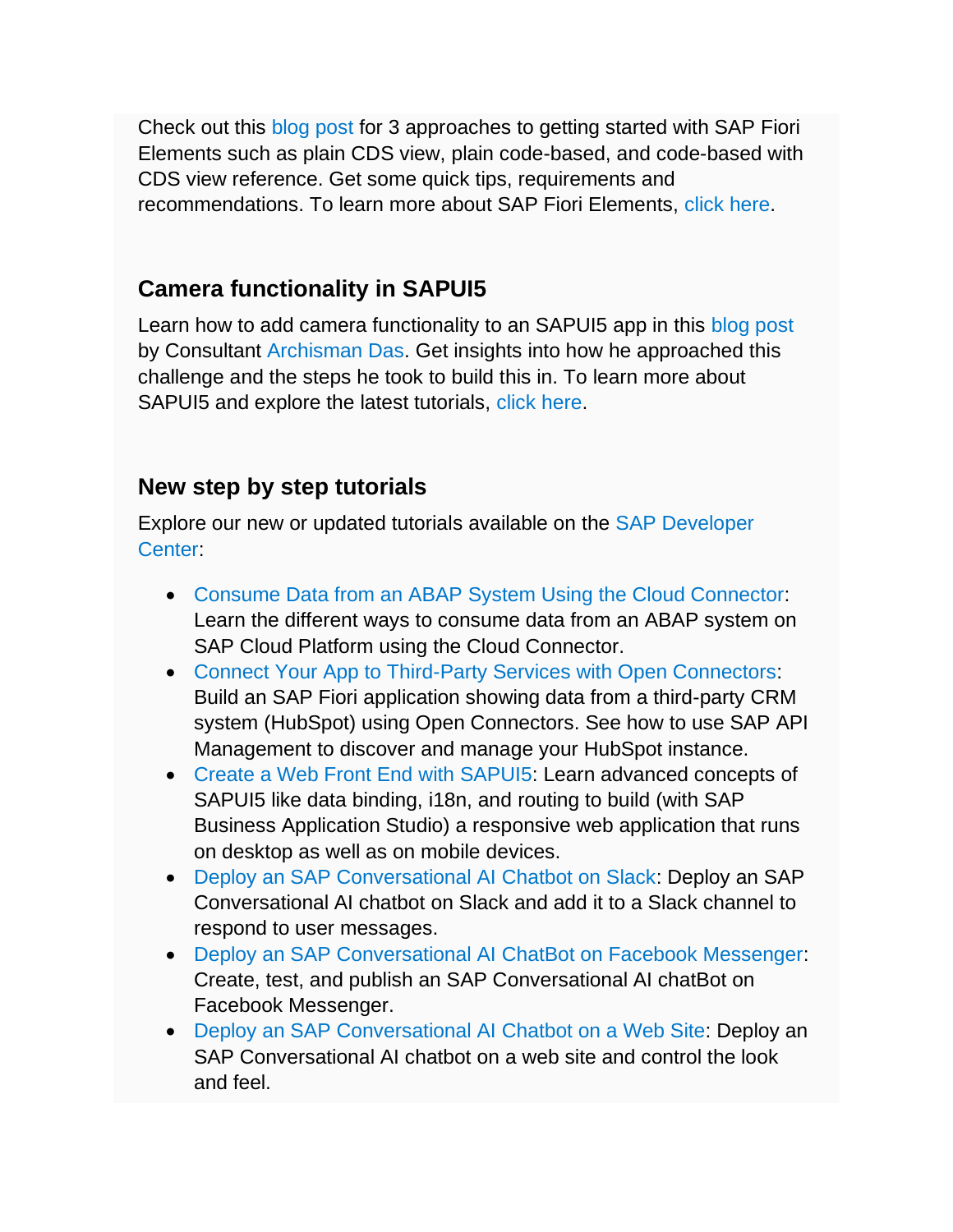Check out this [blog post](https://s4cloudae36f1aac.hana.ondemand.com/data-buffer/sap/public/cuan/link/100/42A759AB4ED7F9FF29C18595A703AABDADE71EBB?_V_=2&_K11_=84586EF14A8FBA9ADAC883E6E70414EC748EF886&_L54AD1F204_=c2NlbmFyaW89TUxDUEcmdGVuYW50PW15MzAwNzIzLnM0aGFuYS5vbmRlbWFuZC5jb20mdGFyZ2V0PWh0dHBzOi8vYmxvZ3Muc2FwLmNvbS8yMDIwLzA3LzAzL2RlY2lkZS1vbi1ob3ctdG8tc3RhcnQtd2l0aC1zYXAtZmlvcmktZWxlbWVudHMvP3NvdXJjZT1lbWFpbC1nLWRldmVsb3Blci1uZXdzbGV0dGVyLUF1ZzIwJnNhcC1vdXRib3VuZC1pZD00MkE3NTlBQjRFRDdGOUZGMjlDMTg1OTVBNzAzQUFCREFERTcxRUJCJnNtY19jYW1wYWlnbl9pZD0wMDAwMDEwNjA1&_K13_=190&_K14_=8939e95da0cb0c5e982794682c05db265ad3ff5d8b98d7b37aee3966818d3c06) for 3 approaches to getting started with SAP Fiori Elements such as plain CDS view, plain code-based, and code-based with CDS view reference. Get some quick tips, requirements and recommendations. To learn more about SAP Fiori Elements, [click here.](https://s4cloudae36f1aac.hana.ondemand.com/data-buffer/sap/public/cuan/link/100/42A759AB4ED7F9FF29C18595A703AABDADE71EBB?_V_=2&_K11_=B27EAFCCAD59BEC927312560A682227C7998D260&_L54AD1F204_=c2NlbmFyaW89TUxDUEcmdGVuYW50PW15MzAwNzIzLnM0aGFuYS5vbmRlbWFuZC5jb20mdGFyZ2V0PWh0dHBzOi8vaGVscC5zYXAuY29tL3ZpZXdlci80NjhhOTc3NzUxMjM0ODhhYjMzNDVhMGM0OGNhZGQ4Zi83LjUxLjQvZW4tVVMvMDMyNjViMDQwOGUyNDMyYzk1NzFkNmIzZmViNmIxZmQuaHRtbD9zb3VyY2U9ZW1haWwtZy1kZXZlbG9wZXItbmV3c2xldHRlci1BdWcyMCZzYXAtb3V0Ym91bmQtaWQ9NDJBNzU5QUI0RUQ3RjlGRjI5QzE4NTk1QTcwM0FBQkRBREU3MUVCQiZzbWNfY2FtcGFpZ25faWQ9MDAwMDAxMDYwNQ&_K13_=190&_K14_=43c7c83f2d6fe57bfcc735fed87b23cc979cecdb7c78ec2640460029fea7117e)

## **Camera functionality in SAPUI5**

Learn how to add camera functionality to an SAPUI5 app in this [blog post](https://s4cloudae36f1aac.hana.ondemand.com/data-buffer/sap/public/cuan/link/100/42A759AB4ED7F9FF29C18595A703AABDADE71EBB?_V_=2&_K11_=125BC8AF9A1CBE185CA6EE6026A5FA63D8146DFD&_L54AD1F204_=c2NlbmFyaW89TUxDUEcmdGVuYW50PW15MzAwNzIzLnM0aGFuYS5vbmRlbWFuZC5jb20mdGFyZ2V0PWh0dHBzOi8vYmxvZ3Muc2FwLmNvbS8yMDIwLzA3LzI5L2NhbWVyYS1mdW5jdGlvbmFsaXR5LWluLXNhcHVpNS8/c291cmNlPWVtYWlsLWctZGV2ZWxvcGVyLW5ld3NsZXR0ZXItQXVnMjAmc2FwLW91dGJvdW5kLWlkPTQyQTc1OUFCNEVEN0Y5RkYyOUMxODU5NUE3MDNBQUJEQURFNzFFQkImc21jX2NhbXBhaWduX2lkPTAwMDAwMTA2MDU&_K13_=190&_K14_=d9efce2e6266366f5d842ff39c011330422015163875f22c95deaad44ac4e354) by Consultant [Archisman Das.](https://s4cloudae36f1aac.hana.ondemand.com/data-buffer/sap/public/cuan/link/100/42A759AB4ED7F9FF29C18595A703AABDADE71EBB?_V_=2&_K11_=083A365AF544A13020EB100C409315A28169E74A&_L54AD1F204_=c2NlbmFyaW89TUxDUEcmdGVuYW50PW15MzAwNzIzLnM0aGFuYS5vbmRlbWFuZC5jb20mdGFyZ2V0PWh0dHBzOi8vcGVvcGxlLnNhcC5jb20vYXJjaGlzbWFuOTI/c291cmNlPWVtYWlsLWctZGV2ZWxvcGVyLW5ld3NsZXR0ZXItQXVnMjAmc2FwLW91dGJvdW5kLWlkPTQyQTc1OUFCNEVEN0Y5RkYyOUMxODU5NUE3MDNBQUJEQURFNzFFQkImc21jX2NhbXBhaWduX2lkPTAwMDAwMTA2MDU&_K13_=190&_K14_=910b69eb53ea8c7f83178e8d4225e1df80d3ae3c1be00aeae6f7533a05371a99) Get insights into how he approached this challenge and the steps he took to build this in. To learn more about SAPUI5 and explore the latest tutorials, [click here.](https://s4cloudae36f1aac.hana.ondemand.com/data-buffer/sap/public/cuan/link/100/42A759AB4ED7F9FF29C18595A703AABDADE71EBB?_V_=2&_K11_=D3B86EDBE738BDA3C8BF7C828454F44013D8F32A&_L54AD1F204_=c2NlbmFyaW89TUxDUEcmdGVuYW50PW15MzAwNzIzLnM0aGFuYS5vbmRlbWFuZC5jb20mdGFyZ2V0PWh0dHBzOi8vZGV2ZWxvcGVycy5zYXAuY29tL3RvcGljcy91aTUuaHRtbD9zb3VyY2U9ZW1haWwtZy1kZXZlbG9wZXItbmV3c2xldHRlci1BdWcyMCZzYXAtb3V0Ym91bmQtaWQ9NDJBNzU5QUI0RUQ3RjlGRjI5QzE4NTk1QTcwM0FBQkRBREU3MUVCQiZzbWNfY2FtcGFpZ25faWQ9MDAwMDAxMDYwNQ&_K13_=190&_K14_=5a5d448201d59fccd758f726566b7146c2bba43c5b8c516ad40a766a2a1ef025)

### **New step by step tutorials**

Explore our new or updated tutorials available on the [SAP Developer](https://s4cloudae36f1aac.hana.ondemand.com/data-buffer/sap/public/cuan/link/100/42A759AB4ED7F9FF29C18595A703AABDADE71EBB?_V_=2&_K11_=CC31564B0E6AC1AE5E7FC074700B3A7510348B1A&_L54AD1F204_=c2NlbmFyaW89TUxDUEcmdGVuYW50PW15MzAwNzIzLnM0aGFuYS5vbmRlbWFuZC5jb20mdGFyZ2V0PWh0dHBzOi8vZGV2ZWxvcGVycy5zYXAuY29tL3R1dG9yaWFsLW5hdmlnYXRvci5odG1sP3NvdXJjZT1lbWFpbC1nLWRldmVsb3Blci1uZXdzbGV0dGVyLUF1ZzIwJnNhcC1vdXRib3VuZC1pZD00MkE3NTlBQjRFRDdGOUZGMjlDMTg1OTVBNzAzQUFCREFERTcxRUJCJnNtY19jYW1wYWlnbl9pZD0wMDAwMDEwNjA1&_K13_=190&_K14_=5c1b8c3579bf249dc735d13a283c5e141f890cbebff062da2a0e29a87ae575ef)  [Center:](https://s4cloudae36f1aac.hana.ondemand.com/data-buffer/sap/public/cuan/link/100/42A759AB4ED7F9FF29C18595A703AABDADE71EBB?_V_=2&_K11_=CC31564B0E6AC1AE5E7FC074700B3A7510348B1A&_L54AD1F204_=c2NlbmFyaW89TUxDUEcmdGVuYW50PW15MzAwNzIzLnM0aGFuYS5vbmRlbWFuZC5jb20mdGFyZ2V0PWh0dHBzOi8vZGV2ZWxvcGVycy5zYXAuY29tL3R1dG9yaWFsLW5hdmlnYXRvci5odG1sP3NvdXJjZT1lbWFpbC1nLWRldmVsb3Blci1uZXdzbGV0dGVyLUF1ZzIwJnNhcC1vdXRib3VuZC1pZD00MkE3NTlBQjRFRDdGOUZGMjlDMTg1OTVBNzAzQUFCREFERTcxRUJCJnNtY19jYW1wYWlnbl9pZD0wMDAwMDEwNjA1&_K13_=190&_K14_=5c1b8c3579bf249dc735d13a283c5e141f890cbebff062da2a0e29a87ae575ef)

- [Consume Data from an ABAP System Using the Cloud Connector:](https://s4cloudae36f1aac.hana.ondemand.com/data-buffer/sap/public/cuan/link/100/42A759AB4ED7F9FF29C18595A703AABDADE71EBB?_V_=2&_K11_=CA0438AEBAC661F69A681F05441C998B86CB4411&_L54AD1F204_=c2NlbmFyaW89TUxDUEcmdGVuYW50PW15MzAwNzIzLnM0aGFuYS5vbmRlbWFuZC5jb20mdGFyZ2V0PWh0dHBzOi8vZGV2ZWxvcGVycy5zYXAuY29tL21pc3Npb24uY3AtY29ubmVjdGl2aXR5LWFiYXAuaHRtbD9zb3VyY2U9ZW1haWwtZy1kZXZlbG9wZXItbmV3c2xldHRlci1BdWcyMCZzYXAtb3V0Ym91bmQtaWQ9NDJBNzU5QUI0RUQ3RjlGRjI5QzE4NTk1QTcwM0FBQkRBREU3MUVCQiZzbWNfY2FtcGFpZ25faWQ9MDAwMDAxMDYwNQ&_K13_=190&_K14_=05158baddce174ea969c84eae12ef4d15232b24e9309f22f8b978be69eed3c34) Learn the different ways to consume data from an ABAP system on SAP Cloud Platform using the Cloud Connector.
- [Connect Your App to Third-Party Services with Open Connectors:](https://s4cloudae36f1aac.hana.ondemand.com/data-buffer/sap/public/cuan/link/100/42A759AB4ED7F9FF29C18595A703AABDADE71EBB?_V_=2&_K11_=E0EBD6B040E70F3A5A8B8BEE36390DEFB413E3E4&_L54AD1F204_=c2NlbmFyaW89TUxDUEcmdGVuYW50PW15MzAwNzIzLnM0aGFuYS5vbmRlbWFuZC5jb20mdGFyZ2V0PWh0dHBzOi8vZGV2ZWxvcGVycy5zYXAuY29tL21pc3Npb24uYXBpbS1vcGVuLWNvbm5lY3RvcnMuaHRtbD9zb3VyY2U9ZW1haWwtZy1kZXZlbG9wZXItbmV3c2xldHRlci1BdWcyMCZzYXAtb3V0Ym91bmQtaWQ9NDJBNzU5QUI0RUQ3RjlGRjI5QzE4NTk1QTcwM0FBQkRBREU3MUVCQiZzbWNfY2FtcGFpZ25faWQ9MDAwMDAxMDYwNQ&_K13_=190&_K14_=b02ff351a6e5cb9bf32c075fd21a285b7ef668e012316af5b763ec3249548dbd) Build an SAP Fiori application showing data from a third-party CRM system (HubSpot) using Open Connectors. See how to use SAP API Management to discover and manage your HubSpot instance.
- [Create a Web Front End with SAPUI5:](https://s4cloudae36f1aac.hana.ondemand.com/data-buffer/sap/public/cuan/link/100/42A759AB4ED7F9FF29C18595A703AABDADE71EBB?_V_=2&_K11_=1ADE17260C2EEFB172448859D5BD3F8922B22AA0&_L54AD1F204_=c2NlbmFyaW89TUxDUEcmdGVuYW50PW15MzAwNzIzLnM0aGFuYS5vbmRlbWFuZC5jb20mdGFyZ2V0PWh0dHBzOi8vZGV2ZWxvcGVycy5zYXAuY29tL2dyb3VwLmNwLWZyb250ZW5kLXVpNS0xLmh0bWw/c291cmNlPWVtYWlsLWctZGV2ZWxvcGVyLW5ld3NsZXR0ZXItQXVnMjAmc2FwLW91dGJvdW5kLWlkPTQyQTc1OUFCNEVEN0Y5RkYyOUMxODU5NUE3MDNBQUJEQURFNzFFQkImc21jX2NhbXBhaWduX2lkPTAwMDAwMTA2MDU&_K13_=190&_K14_=fbd23a544cb495607ba44903a5a87098c2a0edac22c1aa514b3e79759ce10cf5) Learn advanced concepts of SAPUI5 like data binding, i18n, and routing to build (with SAP Business Application Studio) a responsive web application that runs on desktop as well as on mobile devices.
- [Deploy an SAP Conversational AI Chatbot on Slack:](https://s4cloudae36f1aac.hana.ondemand.com/data-buffer/sap/public/cuan/link/100/42A759AB4ED7F9FF29C18595A703AABDADE71EBB?_V_=2&_K11_=01F1F26455A2FF8A7FE2BCD7D666013BCB4FEF66&_L54AD1F204_=c2NlbmFyaW89TUxDUEcmdGVuYW50PW15MzAwNzIzLnM0aGFuYS5vbmRlbWFuZC5jb20mdGFyZ2V0PWh0dHBzOi8vZGV2ZWxvcGVycy5zYXAuY29tL3R1dG9yaWFscy9jb252ZXJzYXRpb25hbC1haS1kZXBsb3ktc2xhY2suaHRtbD9zb3VyY2U9ZW1haWwtZy1kZXZlbG9wZXItbmV3c2xldHRlci1BdWcyMCZzYXAtb3V0Ym91bmQtaWQ9NDJBNzU5QUI0RUQ3RjlGRjI5QzE4NTk1QTcwM0FBQkRBREU3MUVCQiZzbWNfY2FtcGFpZ25faWQ9MDAwMDAxMDYwNQ&_K13_=190&_K14_=dfdef051166ad6027a50ac61365000fcc241b6c7e86b67b97106506f1c6fec19) Deploy an SAP Conversational AI chatbot on Slack and add it to a Slack channel to respond to user messages.
- [Deploy an SAP Conversational AI ChatBot on Facebook Messenger:](https://s4cloudae36f1aac.hana.ondemand.com/data-buffer/sap/public/cuan/link/100/42A759AB4ED7F9FF29C18595A703AABDADE71EBB?_V_=2&_K11_=0F1C8E4BBF3F8B3D7691BA5E19CCF543E584A783&_L54AD1F204_=c2NlbmFyaW89TUxDUEcmdGVuYW50PW15MzAwNzIzLnM0aGFuYS5vbmRlbWFuZC5jb20mdGFyZ2V0PWh0dHBzOi8vZGV2ZWxvcGVycy5zYXAuY29tL3R1dG9yaWFscy9jYWktZmFjZWJvb2stbWVzc2VuZ2VyLWJvdC1jcmVhdGUuaHRtbD9zb3VyY2U9ZW1haWwtZy1kZXZlbG9wZXItbmV3c2xldHRlci1BdWcyMCZzYXAtb3V0Ym91bmQtaWQ9NDJBNzU5QUI0RUQ3RjlGRjI5QzE4NTk1QTcwM0FBQkRBREU3MUVCQiZzbWNfY2FtcGFpZ25faWQ9MDAwMDAxMDYwNQ&_K13_=190&_K14_=3f42fe54d9cbc7145d3e745c593f985c6156ea61f2aa30197fe41a5e40672dde) Create, test, and publish an SAP Conversational AI chatBot on Facebook Messenger.
- [Deploy an SAP Conversational AI Chatbot on a Web Site:](https://s4cloudae36f1aac.hana.ondemand.com/data-buffer/sap/public/cuan/link/100/42A759AB4ED7F9FF29C18595A703AABDADE71EBB?_V_=2&_K11_=C2FBA42DF4C759685D185774A3167480AFF5D052&_L54AD1F204_=c2NlbmFyaW89TUxDUEcmdGVuYW50PW15MzAwNzIzLnM0aGFuYS5vbmRlbWFuZC5jb20mdGFyZ2V0PWh0dHBzOi8vZGV2ZWxvcGVycy5zYXAuY29tL3R1dG9yaWFscy9jb252ZXJzYXRpb25hbC1haS1kZXBsb3ktd2ViLmh0bWw/c291cmNlPWVtYWlsLWctZGV2ZWxvcGVyLW5ld3NsZXR0ZXItQXVnMjAmc2FwLW91dGJvdW5kLWlkPTQyQTc1OUFCNEVEN0Y5RkYyOUMxODU5NUE3MDNBQUJEQURFNzFFQkImc21jX2NhbXBhaWduX2lkPTAwMDAwMTA2MDU&_K13_=190&_K14_=b2f2b99ea05b987b5255f17d67f46406066d41754edd2f5a569dafdd9e27dd41) Deploy an SAP Conversational AI chatbot on a web site and control the look and feel.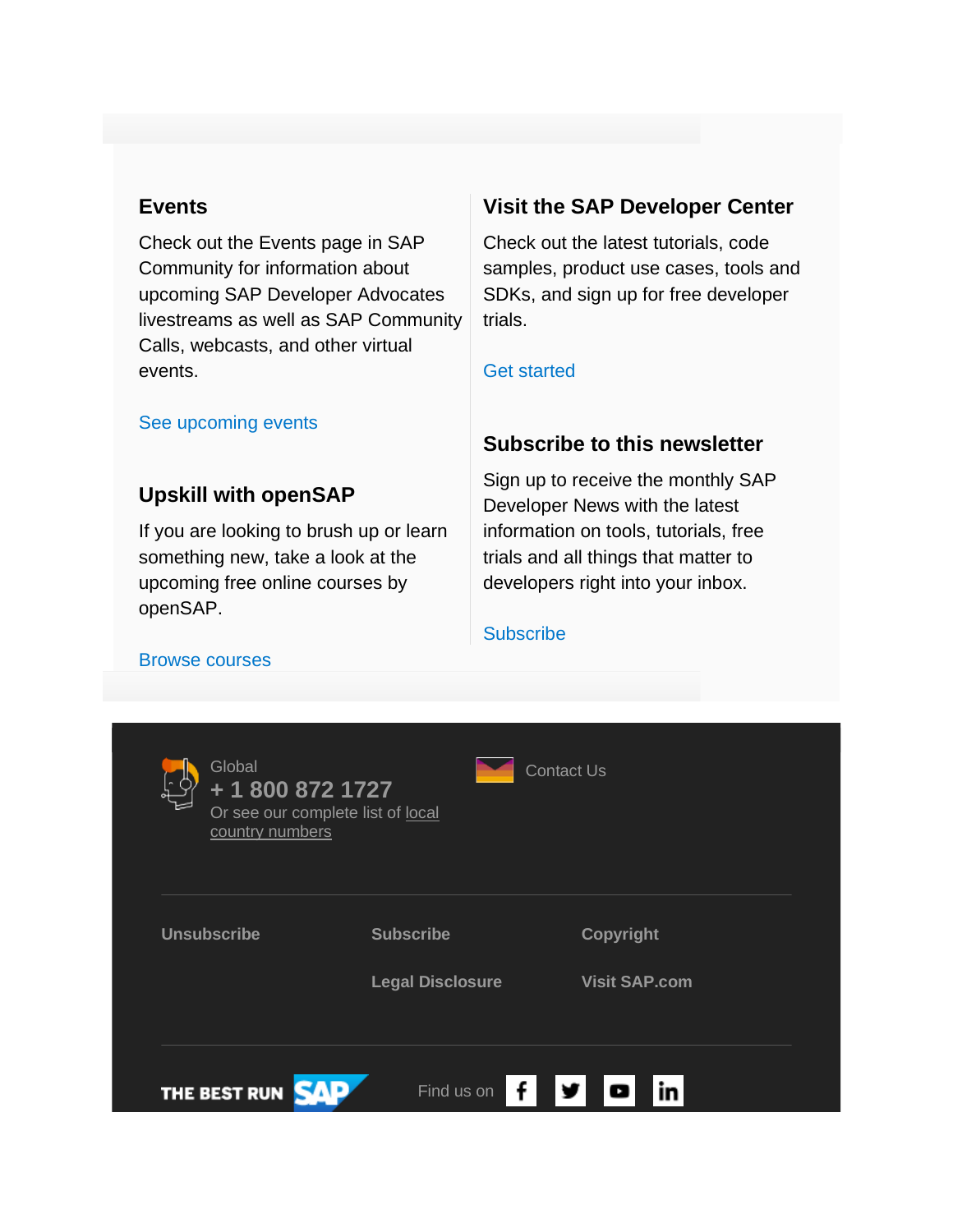#### **Events**

Check out the Events page in SAP Community for information about upcoming SAP Developer Advocates livestreams as well as SAP Community Calls, webcasts, and other virtual events.

#### **Visit the SAP Developer Center**

Check out the latest tutorials, code samples, product use cases, tools and SDKs, and sign up for free developer trials.

#### [Get started](https://s4cloudae36f1aac.hana.ondemand.com/data-buffer/sap/public/cuan/link/100/42A759AB4ED7F9FF29C18595A703AABDADE71EBB?_V_=2&_K11_=60E731A83F051E95DDD90B0222B1A4DF37DB2991&_L54AD1F204_=c2NlbmFyaW89TUxDUEcmdGVuYW50PW15MzAwNzIzLnM0aGFuYS5vbmRlbWFuZC5jb20mdGFyZ2V0PWh0dHBzOi8vZGV2ZWxvcGVycy5zYXAuY29tLz9zb3VyY2U9ZW1haWwtZy1kZXZlbG9wZXItbmV3c2xldHRlci1BdWcyMCZzYXAtb3V0Ym91bmQtaWQ9NDJBNzU5QUI0RUQ3RjlGRjI5QzE4NTk1QTcwM0FBQkRBREU3MUVCQiZzbWNfY2FtcGFpZ25faWQ9MDAwMDAxMDYwNQ&_K13_=190&_K14_=14581b01d068dde3d53139fb9309f695cbff972833aa5430c17a28b2bc0e9dbc)

# **Subscribe to this newsletter**

# **Upskill with openSAP**

[See upcoming events](https://s4cloudae36f1aac.hana.ondemand.com/data-buffer/sap/public/cuan/link/100/42A759AB4ED7F9FF29C18595A703AABDADE71EBB?_V_=2&_K11_=5DC114E42B5A05BD89B7E162A4011400DAB11470&_L54AD1F204_=c2NlbmFyaW89TUxDUEcmdGVuYW50PW15MzAwNzIzLnM0aGFuYS5vbmRlbWFuZC5jb20mdGFyZ2V0PWh0dHBzOi8vY29tbXVuaXR5LnNhcC5jb20vZXZlbnRzP3NvdXJjZT1lbWFpbC1nLWRldmVsb3Blci1uZXdzbGV0dGVyLUF1ZzIwJnNhcC1vdXRib3VuZC1pZD00MkE3NTlBQjRFRDdGOUZGMjlDMTg1OTVBNzAzQUFCREFERTcxRUJCJnNtY19jYW1wYWlnbl9pZD0wMDAwMDEwNjA1&_K13_=190&_K14_=36bc8b262e20096111edac5632a2ad35337827d7ed5640cabac90e02c6c5f5d8)

If you are looking to brush up or learn something new, take a look at the upcoming free online courses by openSAP.

Sign up to receive the monthly SAP Developer News with the latest information on tools, tutorials, free trials and all things that matter to developers right into your inbox.

#### **[Subscribe](https://s4cloudae36f1aac.hana.ondemand.com/data-buffer/sap/public/cuan/link/100/42A759AB4ED7F9FF29C18595A703AABDADE71EBB?_V_=2&_K11_=C1F526D0903E63978D0CE92B8FCE421C1830BCD4&_L54AD1F204_=c2NlbmFyaW89TUxDUEcmdGVuYW50PW15MzAwNzIzLnM0aGFuYS5vbmRlbWFuZC5jb20mdGFyZ2V0PWh0dHBzOi8vd3d3LnNhcC5jb20vY21wL25sL3NhcC1kZXZlbG9wZXItbmV3cy9pbmRleC5odG1sP3NhcC1vdXRib3VuZC1pZD00MkE3NTlBQjRFRDdGOUZGMjlDMTg1OTVBNzAzQUFCREFERTcxRUJCJnNtY19jYW1wYWlnbl9pZD0wMDAwMDEwNjA1&_K13_=190&_K14_=82a69e65cd5a799286a0572fe847268a51fe2752bea363af2a77871bee8468e9)**

#### [Browse courses](https://s4cloudae36f1aac.hana.ondemand.com/data-buffer/sap/public/cuan/link/100/42A759AB4ED7F9FF29C18595A703AABDADE71EBB?_V_=2&_K11_=6E111E46A69D1A1D07B4736352A8B473B98ADB10&_L54AD1F204_=c2NlbmFyaW89TUxDUEcmdGVuYW50PW15MzAwNzIzLnM0aGFuYS5vbmRlbWFuZC5jb20mdGFyZ2V0PWh0dHBzOi8vb3Blbi5zYXAuY29tL2NvdXJzZXM/c291cmNlPWVtYWlsLWctZGV2ZWxvcGVyLW5ld3NsZXR0ZXItQXVnMjAmc2FwLW91dGJvdW5kLWlkPTQyQTc1OUFCNEVEN0Y5RkYyOUMxODU5NUE3MDNBQUJEQURFNzFFQkImc21jX2NhbXBhaWduX2lkPTAwMDAwMTA2MDU&_K13_=190&_K14_=3c6a9bdc2fddacc2241024da7b1cdc8c17f5f4f61ce38ce2376d930db27041f4)

| Global<br><b>Contact Us</b><br>+ 1 800 872 1727<br>Or see our complete list of local<br>country numbers |                         |                      |  |
|---------------------------------------------------------------------------------------------------------|-------------------------|----------------------|--|
| <b>Unsubscribe</b>                                                                                      | <b>Subscribe</b>        | <b>Copyright</b>     |  |
|                                                                                                         | <b>Legal Disclosure</b> | <b>Visit SAP.com</b> |  |
| THE BEST RUN                                                                                            | Find us on              | ы                    |  |